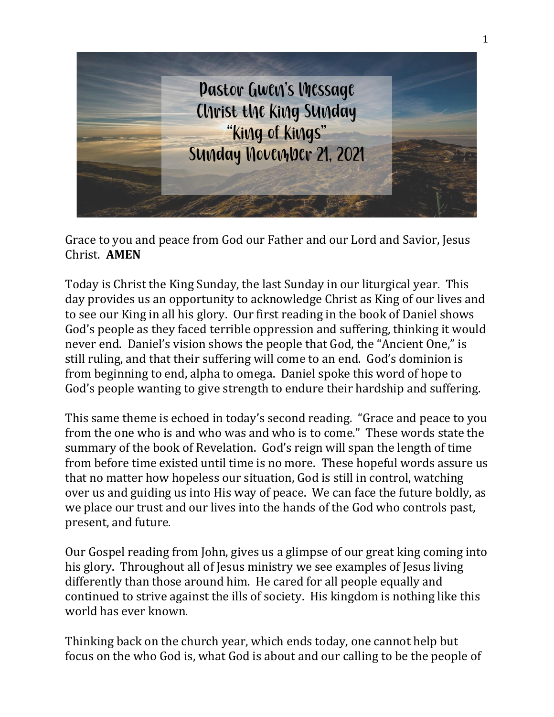

Grace to you and peace from God our Father and our Lord and Savior, Jesus Christ. **AMEN**

Today is Christ the King Sunday, the last Sunday in our liturgical year. This day provides us an opportunity to acknowledge Christ as King of our lives and to see our King in all his glory. Our first reading in the book of Daniel shows God's people as they faced terrible oppression and suffering, thinking it would never end. Daniel's vision shows the people that God, the "Ancient One," is still ruling, and that their suffering will come to an end. God's dominion is from beginning to end, alpha to omega. Daniel spoke this word of hope to God's people wanting to give strength to endure their hardship and suffering.

This same theme is echoed in today's second reading. "Grace and peace to you from the one who is and who was and who is to come." These words state the summary of the book of Revelation. God's reign will span the length of time from before time existed until time is no more. These hopeful words assure us that no matter how hopeless our situation, God is still in control, watching over us and guiding us into His way of peace. We can face the future boldly, as we place our trust and our lives into the hands of the God who controls past, present, and future.

Our Gospel reading from John, gives us a glimpse of our great king coming into his glory. Throughout all of Jesus ministry we see examples of Jesus living differently than those around him. He cared for all people equally and continued to strive against the ills of society. His kingdom is nothing like this world has ever known.

Thinking back on the church year, which ends today, one cannot help but focus on the who God is, what God is about and our calling to be the people of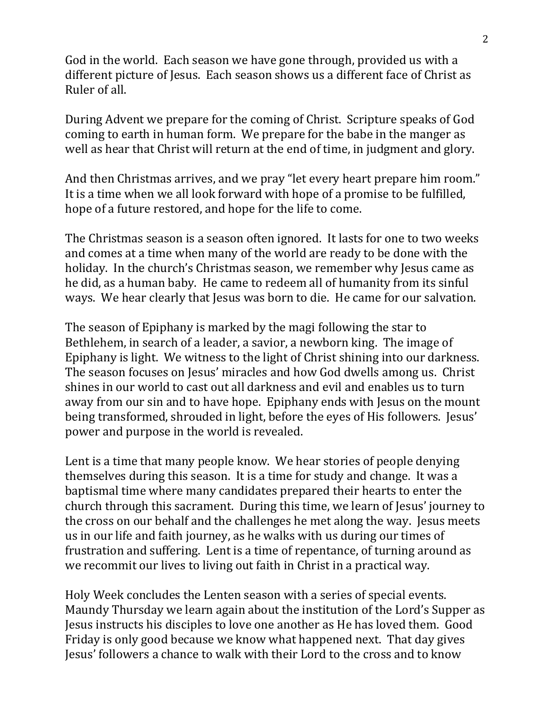God in the world. Each season we have gone through, provided us with a different picture of Jesus. Each season shows us a different face of Christ as Ruler of all.

During Advent we prepare for the coming of Christ. Scripture speaks of God coming to earth in human form. We prepare for the babe in the manger as well as hear that Christ will return at the end of time, in judgment and glory.

And then Christmas arrives, and we pray "let every heart prepare him room." It is a time when we all look forward with hope of a promise to be fulfilled, hope of a future restored, and hope for the life to come.

The Christmas season is a season often ignored. It lasts for one to two weeks and comes at a time when many of the world are ready to be done with the holiday. In the church's Christmas season, we remember why Jesus came as he did, as a human baby. He came to redeem all of humanity from its sinful ways. We hear clearly that Jesus was born to die. He came for our salvation.

The season of Epiphany is marked by the magi following the star to Bethlehem, in search of a leader, a savior, a newborn king. The image of Epiphany is light. We witness to the light of Christ shining into our darkness. The season focuses on Jesus' miracles and how God dwells among us. Christ shines in our world to cast out all darkness and evil and enables us to turn away from our sin and to have hope. Epiphany ends with Jesus on the mount being transformed, shrouded in light, before the eyes of His followers. Jesus' power and purpose in the world is revealed.

Lent is a time that many people know. We hear stories of people denying themselves during this season. It is a time for study and change. It was a baptismal time where many candidates prepared their hearts to enter the church through this sacrament. During this time, we learn of Jesus' journey to the cross on our behalf and the challenges he met along the way. Jesus meets us in our life and faith journey, as he walks with us during our times of frustration and suffering. Lent is a time of repentance, of turning around as we recommit our lives to living out faith in Christ in a practical way.

Holy Week concludes the Lenten season with a series of special events. Maundy Thursday we learn again about the institution of the Lord's Supper as Jesus instructs his disciples to love one another as He has loved them. Good Friday is only good because we know what happened next. That day gives Jesus' followers a chance to walk with their Lord to the cross and to know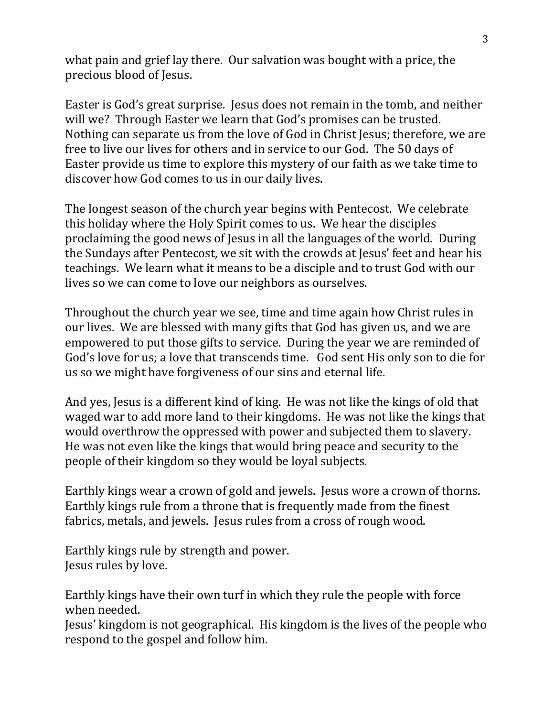what pain and grief lay there. Our salvation was bought with a price, the precious blood of Jesus.

Easter is God's great surprise. Jesus does not remain in the tomb, and neither will we? Through Easter we learn that God's promises can be trusted. Nothing can separate us from the love of God in Christ Jesus; therefore, we are free to live our lives for others and in service to our God. The 50 days of Easter provide us time to explore this mystery of our faith as we take time to discover how God comes to us in our daily lives.

The longest season of the church year begins with Pentecost. We celebrate this holiday where the Holy Spirit comes to us. We hear the disciples proclaiming the good news of Jesus in all the languages of the world. During the Sundays after Pentecost, we sit with the crowds at Jesus' feet and hear his teachings. We learn what it means to be a disciple and to trust God with our lives so we can come to love our neighbors as ourselves.

Throughout the church year we see, time and time again how Christ rules in our lives. We are blessed with many gifts that God has given us, and we are empowered to put those gifts to service. During the year we are reminded of God's love for us; a love that transcends time. God sent His only son to die for us so we might have forgiveness of our sins and eternal life.

And yes, Jesus is a different kind of king. He was not like the kings of old that waged war to add more land to their kingdoms. He was not like the kings that would overthrow the oppressed with power and subjected them to slavery. He was not even like the kings that would bring peace and security to the people of their kingdom so they would be loyal subjects.

Earthly kings wear a crown of gold and jewels. Jesus wore a crown of thorns. Earthly kings rule from a throne that is frequently made from the finest fabrics, metals, and jewels. Jesus rules from a cross of rough wood.

Earthly kings rule by strength and power. Jesus rules by love.

Earthly kings have their own turf in which they rule the people with force when needed.

Jesus' kingdom is not geographical. His kingdom is the lives of the people who respond to the gospel and follow him.